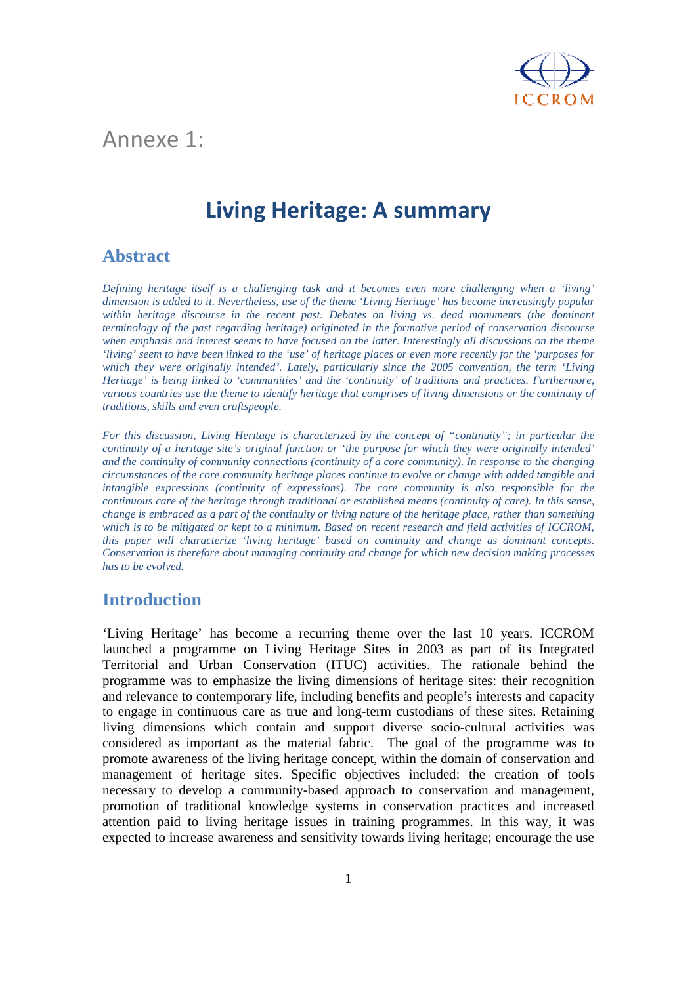

# **Living Heritage: A summary**

### **Abstract**

*Defining heritage itself is a challenging task and it becomes even more challenging when a 'living' dimension is added to it. Nevertheless, use of the theme 'Living Heritage' has become increasingly popular*  within heritage discourse in the recent past. Debates on living vs. dead monuments (the dominant *terminology of the past regarding heritage) originated in the formative period of conservation discourse when emphasis and interest seems to have focused on the latter. Interestingly all discussions on the theme 'living' seem to have been linked to the 'use' of heritage places or even more recently for the 'purposes for which they were originally intended'. Lately, particularly since the 2005 convention, the term 'Living Heritage' is being linked to 'communities' and the 'continuity' of traditions and practices. Furthermore, various countries use the theme to identify heritage that comprises of living dimensions or the continuity of traditions, skills and even craftspeople.* 

*For this discussion, Living Heritage is characterized by the concept of "continuity"; in particular the continuity of a heritage site's original function or 'the purpose for which they were originally intended' and the continuity of community connections (continuity of a core community). In response to the changing circumstances of the core community heritage places continue to evolve or change with added tangible and intangible expressions (continuity of expressions). The core community is also responsible for the continuous care of the heritage through traditional or established means (continuity of care). In this sense, change is embraced as a part of the continuity or living nature of the heritage place, rather than something which is to be mitigated or kept to a minimum. Based on recent research and field activities of ICCROM, this paper will characterize 'living heritage' based on continuity and change as dominant concepts. Conservation is therefore about managing continuity and change for which new decision making processes has to be evolved.* 

### **Introduction**

'Living Heritage' has become a recurring theme over the last 10 years. ICCROM launched a programme on Living Heritage Sites in 2003 as part of its Integrated Territorial and Urban Conservation (ITUC) activities. The rationale behind the programme was to emphasize the living dimensions of heritage sites: their recognition and relevance to contemporary life, including benefits and people's interests and capacity to engage in continuous care as true and long-term custodians of these sites. Retaining living dimensions which contain and support diverse socio-cultural activities was considered as important as the material fabric. The goal of the programme was to promote awareness of the living heritage concept, within the domain of conservation and management of heritage sites. Specific objectives included: the creation of tools necessary to develop a community-based approach to conservation and management, promotion of traditional knowledge systems in conservation practices and increased attention paid to living heritage issues in training programmes. In this way, it was expected to increase awareness and sensitivity towards living heritage; encourage the use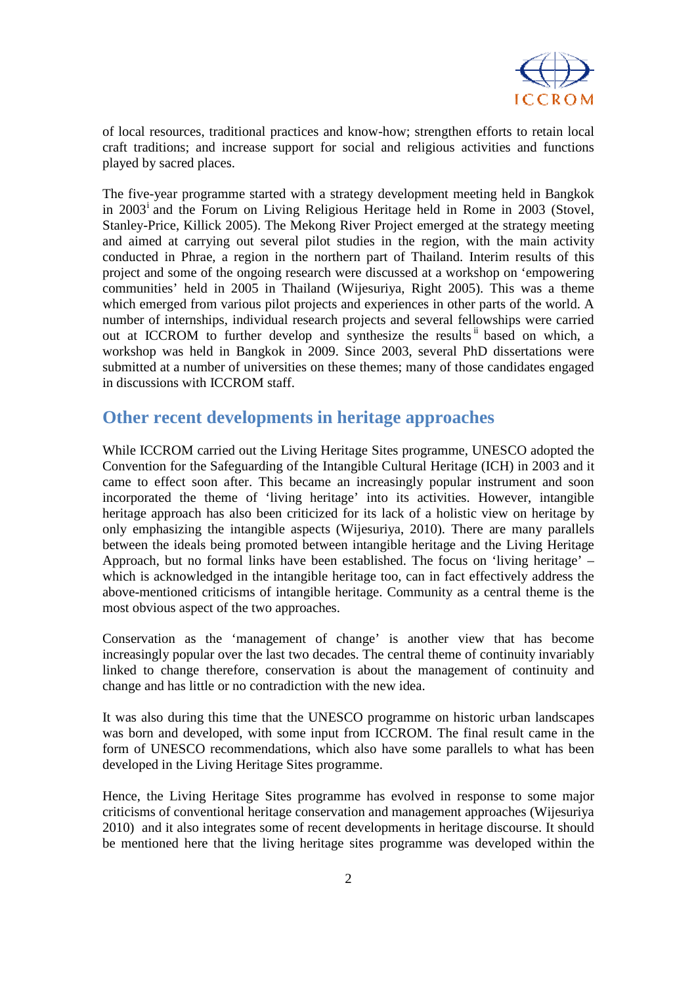

of local resources, traditional practices and know-how; strengthen efforts to retain local craft traditions; and increase support for social and religious activities and functions played by sacred places.

The five-year programme started with a strategy development meeting held in Bangkok in 2003<sup>i</sup> and the Forum on Living Religious Heritage held in Rome in 2003 (Stovel, Stanley-Price, Killick 2005). The Mekong River Project emerged at the strategy meeting and aimed at carrying out several pilot studies in the region, with the main activity conducted in Phrae, a region in the northern part of Thailand. Interim results of this project and some of the ongoing research were discussed at a workshop on 'empowering communities' held in 2005 in Thailand (Wijesuriya, Right 2005). This was a theme which emerged from various pilot projects and experiences in other parts of the world. A number of internships, individual research projects and several fellowships were carried out at ICCROM to further develop and synthesize the results<sup>ii</sup> based on which, a workshop was held in Bangkok in 2009. Since 2003, several PhD dissertations were submitted at a number of universities on these themes; many of those candidates engaged in discussions with ICCROM staff.

### **Other recent developments in heritage approaches**

While ICCROM carried out the Living Heritage Sites programme, UNESCO adopted the Convention for the Safeguarding of the Intangible Cultural Heritage (ICH) in 2003 and it came to effect soon after. This became an increasingly popular instrument and soon incorporated the theme of 'living heritage' into its activities. However, intangible heritage approach has also been criticized for its lack of a holistic view on heritage by only emphasizing the intangible aspects (Wijesuriya, 2010). There are many parallels between the ideals being promoted between intangible heritage and the Living Heritage Approach, but no formal links have been established. The focus on 'living heritage' – which is acknowledged in the intangible heritage too, can in fact effectively address the above-mentioned criticisms of intangible heritage. Community as a central theme is the most obvious aspect of the two approaches.

Conservation as the 'management of change' is another view that has become increasingly popular over the last two decades. The central theme of continuity invariably linked to change therefore, conservation is about the management of continuity and change and has little or no contradiction with the new idea.

It was also during this time that the UNESCO programme on historic urban landscapes was born and developed, with some input from ICCROM. The final result came in the form of UNESCO recommendations, which also have some parallels to what has been developed in the Living Heritage Sites programme.

Hence, the Living Heritage Sites programme has evolved in response to some major criticisms of conventional heritage conservation and management approaches (Wijesuriya 2010) and it also integrates some of recent developments in heritage discourse. It should be mentioned here that the living heritage sites programme was developed within the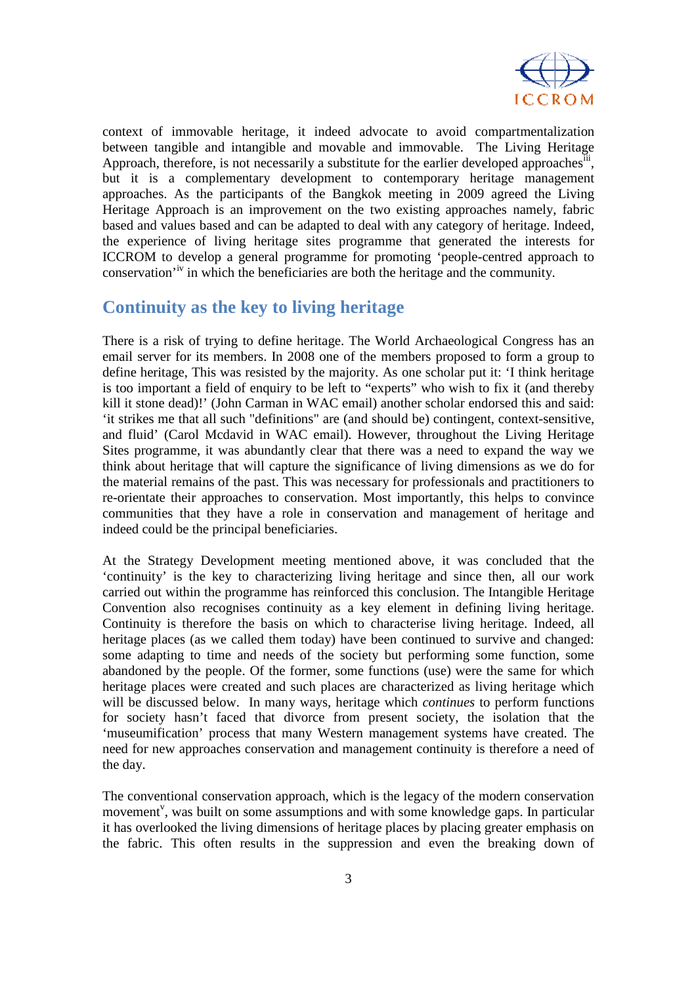

context of immovable heritage, it indeed advocate to avoid compartmentalization between tangible and intangible and movable and immovable. The Living Heritage Approach, therefore, is not necessarily a substitute for the earlier developed approaches  $\overline{\text{iii}}$ , but it is a complementary development to contemporary heritage management approaches. As the participants of the Bangkok meeting in 2009 agreed the Living Heritage Approach is an improvement on the two existing approaches namely, fabric based and values based and can be adapted to deal with any category of heritage. Indeed, the experience of living heritage sites programme that generated the interests for ICCROM to develop a general programme for promoting 'people-centred approach to conservation'iv in which the beneficiaries are both the heritage and the community.

## **Continuity as the key to living heritage**

There is a risk of trying to define heritage. The World Archaeological Congress has an email server for its members. In 2008 one of the members proposed to form a group to define heritage, This was resisted by the majority. As one scholar put it: 'I think heritage is too important a field of enquiry to be left to "experts" who wish to fix it (and thereby kill it stone dead)!' (John Carman in WAC email) another scholar endorsed this and said: 'it strikes me that all such "definitions" are (and should be) contingent, context-sensitive, and fluid' (Carol Mcdavid in WAC email). However, throughout the Living Heritage Sites programme, it was abundantly clear that there was a need to expand the way we think about heritage that will capture the significance of living dimensions as we do for the material remains of the past. This was necessary for professionals and practitioners to re-orientate their approaches to conservation. Most importantly, this helps to convince communities that they have a role in conservation and management of heritage and indeed could be the principal beneficiaries.

At the Strategy Development meeting mentioned above, it was concluded that the 'continuity' is the key to characterizing living heritage and since then, all our work carried out within the programme has reinforced this conclusion. The Intangible Heritage Convention also recognises continuity as a key element in defining living heritage. Continuity is therefore the basis on which to characterise living heritage. Indeed, all heritage places (as we called them today) have been continued to survive and changed: some adapting to time and needs of the society but performing some function, some abandoned by the people. Of the former, some functions (use) were the same for which heritage places were created and such places are characterized as living heritage which will be discussed below. In many ways, heritage which *continues* to perform functions for society hasn't faced that divorce from present society, the isolation that the 'museumification' process that many Western management systems have created. The need for new approaches conservation and management continuity is therefore a need of the day.

The conventional conservation approach, which is the legacy of the modern conservation movement<sup>v</sup>, was built on some assumptions and with some knowledge gaps. In particular it has overlooked the living dimensions of heritage places by placing greater emphasis on the fabric. This often results in the suppression and even the breaking down of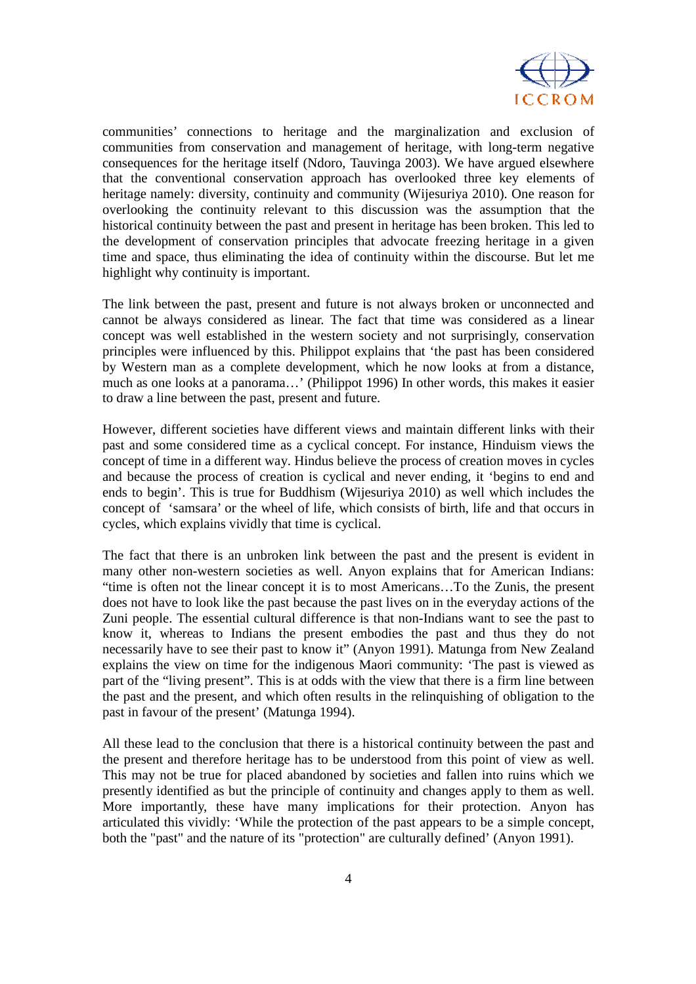

communities' connections to heritage and the marginalization and exclusion of communities from conservation and management of heritage, with long-term negative consequences for the heritage itself (Ndoro, Tauvinga 2003). We have argued elsewhere that the conventional conservation approach has overlooked three key elements of heritage namely: diversity, continuity and community (Wijesuriya 2010). One reason for overlooking the continuity relevant to this discussion was the assumption that the historical continuity between the past and present in heritage has been broken. This led to the development of conservation principles that advocate freezing heritage in a given time and space, thus eliminating the idea of continuity within the discourse. But let me highlight why continuity is important.

The link between the past, present and future is not always broken or unconnected and cannot be always considered as linear. The fact that time was considered as a linear concept was well established in the western society and not surprisingly, conservation principles were influenced by this. Philippot explains that 'the past has been considered by Western man as a complete development, which he now looks at from a distance, much as one looks at a panorama…' (Philippot 1996) In other words, this makes it easier to draw a line between the past, present and future.

However, different societies have different views and maintain different links with their past and some considered time as a cyclical concept. For instance, Hinduism views the concept of time in a different way. Hindus believe the process of creation moves in cycles and because the process of creation is cyclical and never ending, it 'begins to end and ends to begin'. This is true for Buddhism (Wijesuriya 2010) as well which includes the concept of 'samsara' or the wheel of life, which consists of birth, life and that occurs in cycles, which explains vividly that time is cyclical.

The fact that there is an unbroken link between the past and the present is evident in many other non-western societies as well. Anyon explains that for American Indians: "time is often not the linear concept it is to most Americans…To the Zunis, the present does not have to look like the past because the past lives on in the everyday actions of the Zuni people. The essential cultural difference is that non-Indians want to see the past to know it, whereas to Indians the present embodies the past and thus they do not necessarily have to see their past to know it" (Anyon 1991). Matunga from New Zealand explains the view on time for the indigenous Maori community: 'The past is viewed as part of the "living present". This is at odds with the view that there is a firm line between the past and the present, and which often results in the relinquishing of obligation to the past in favour of the present' (Matunga 1994).

All these lead to the conclusion that there is a historical continuity between the past and the present and therefore heritage has to be understood from this point of view as well. This may not be true for placed abandoned by societies and fallen into ruins which we presently identified as but the principle of continuity and changes apply to them as well. More importantly, these have many implications for their protection. Anyon has articulated this vividly: 'While the protection of the past appears to be a simple concept, both the "past" and the nature of its "protection" are culturally defined' (Anyon 1991).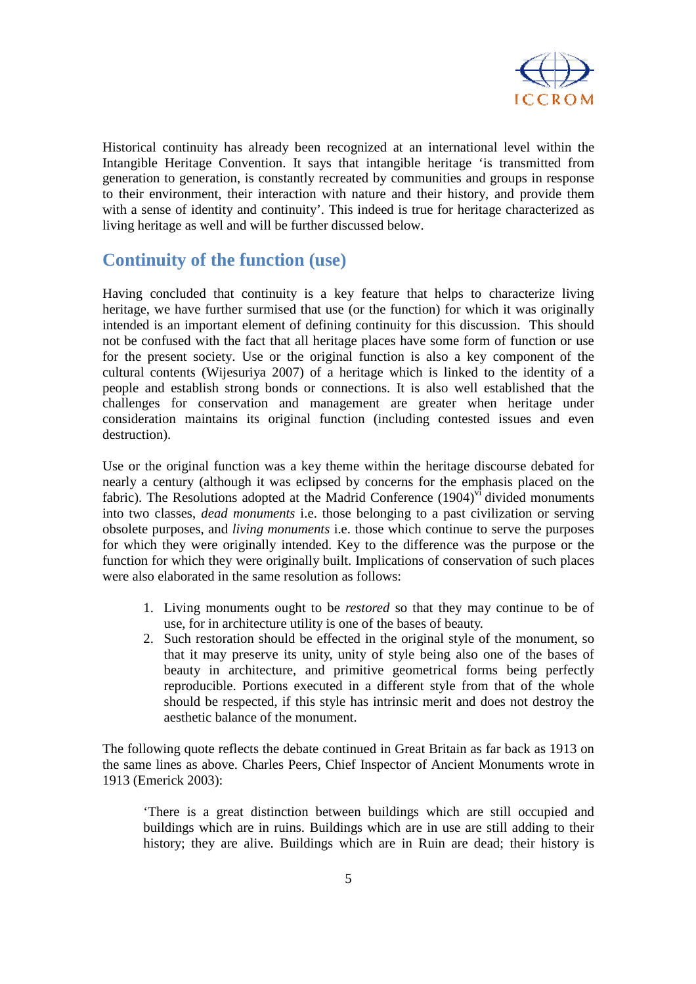

Historical continuity has already been recognized at an international level within the Intangible Heritage Convention. It says that intangible heritage 'is transmitted from generation to generation, is constantly recreated by communities and groups in response to their environment, their interaction with nature and their history, and provide them with a sense of identity and continuity'. This indeed is true for heritage characterized as living heritage as well and will be further discussed below.

## **Continuity of the function (use)**

Having concluded that continuity is a key feature that helps to characterize living heritage, we have further surmised that use (or the function) for which it was originally intended is an important element of defining continuity for this discussion. This should not be confused with the fact that all heritage places have some form of function or use for the present society. Use or the original function is also a key component of the cultural contents (Wijesuriya 2007) of a heritage which is linked to the identity of a people and establish strong bonds or connections. It is also well established that the challenges for conservation and management are greater when heritage under consideration maintains its original function (including contested issues and even destruction).

Use or the original function was a key theme within the heritage discourse debated for nearly a century (although it was eclipsed by concerns for the emphasis placed on the fabric). The Resolutions adopted at the Madrid Conference  $(1904)$ <sup>vi</sup> divided monuments into two classes, *dead monuments* i.e. those belonging to a past civilization or serving obsolete purposes, and *living monuments* i.e. those which continue to serve the purposes for which they were originally intended. Key to the difference was the purpose or the function for which they were originally built. Implications of conservation of such places were also elaborated in the same resolution as follows:

- 1. Living monuments ought to be *restored* so that they may continue to be of use, for in architecture utility is one of the bases of beauty.
- 2. Such restoration should be effected in the original style of the monument, so that it may preserve its unity, unity of style being also one of the bases of beauty in architecture, and primitive geometrical forms being perfectly reproducible. Portions executed in a different style from that of the whole should be respected, if this style has intrinsic merit and does not destroy the aesthetic balance of the monument.

The following quote reflects the debate continued in Great Britain as far back as 1913 on the same lines as above. Charles Peers, Chief Inspector of Ancient Monuments wrote in 1913 (Emerick 2003):

'There is a great distinction between buildings which are still occupied and buildings which are in ruins. Buildings which are in use are still adding to their history; they are alive. Buildings which are in Ruin are dead; their history is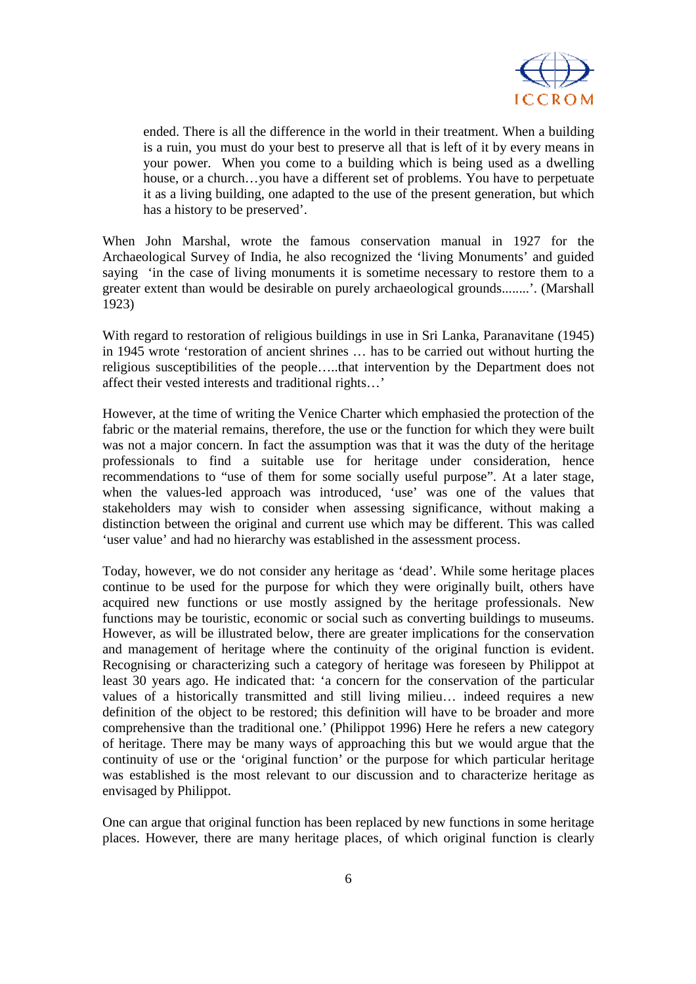

ended. There is all the difference in the world in their treatment. When a building is a ruin, you must do your best to preserve all that is left of it by every means in your power. When you come to a building which is being used as a dwelling house, or a church…you have a different set of problems. You have to perpetuate it as a living building, one adapted to the use of the present generation, but which has a history to be preserved'.

When John Marshal, wrote the famous conservation manual in 1927 for the Archaeological Survey of India, he also recognized the 'living Monuments' and guided saying 'in the case of living monuments it is sometime necessary to restore them to a greater extent than would be desirable on purely archaeological grounds........'. (Marshall 1923)

With regard to restoration of religious buildings in use in Sri Lanka, Paranavitane (1945) in 1945 wrote 'restoration of ancient shrines … has to be carried out without hurting the religious susceptibilities of the people…..that intervention by the Department does not affect their vested interests and traditional rights…'

However, at the time of writing the Venice Charter which emphasied the protection of the fabric or the material remains, therefore, the use or the function for which they were built was not a major concern. In fact the assumption was that it was the duty of the heritage professionals to find a suitable use for heritage under consideration, hence recommendations to "use of them for some socially useful purpose". At a later stage, when the values-led approach was introduced, 'use' was one of the values that stakeholders may wish to consider when assessing significance, without making a distinction between the original and current use which may be different. This was called 'user value' and had no hierarchy was established in the assessment process.

Today, however, we do not consider any heritage as 'dead'. While some heritage places continue to be used for the purpose for which they were originally built, others have acquired new functions or use mostly assigned by the heritage professionals. New functions may be touristic, economic or social such as converting buildings to museums. However, as will be illustrated below, there are greater implications for the conservation and management of heritage where the continuity of the original function is evident. Recognising or characterizing such a category of heritage was foreseen by Philippot at least 30 years ago. He indicated that: 'a concern for the conservation of the particular values of a historically transmitted and still living milieu… indeed requires a new definition of the object to be restored; this definition will have to be broader and more comprehensive than the traditional one.' (Philippot 1996) Here he refers a new category of heritage. There may be many ways of approaching this but we would argue that the continuity of use or the 'original function' or the purpose for which particular heritage was established is the most relevant to our discussion and to characterize heritage as envisaged by Philippot.

One can argue that original function has been replaced by new functions in some heritage places. However, there are many heritage places, of which original function is clearly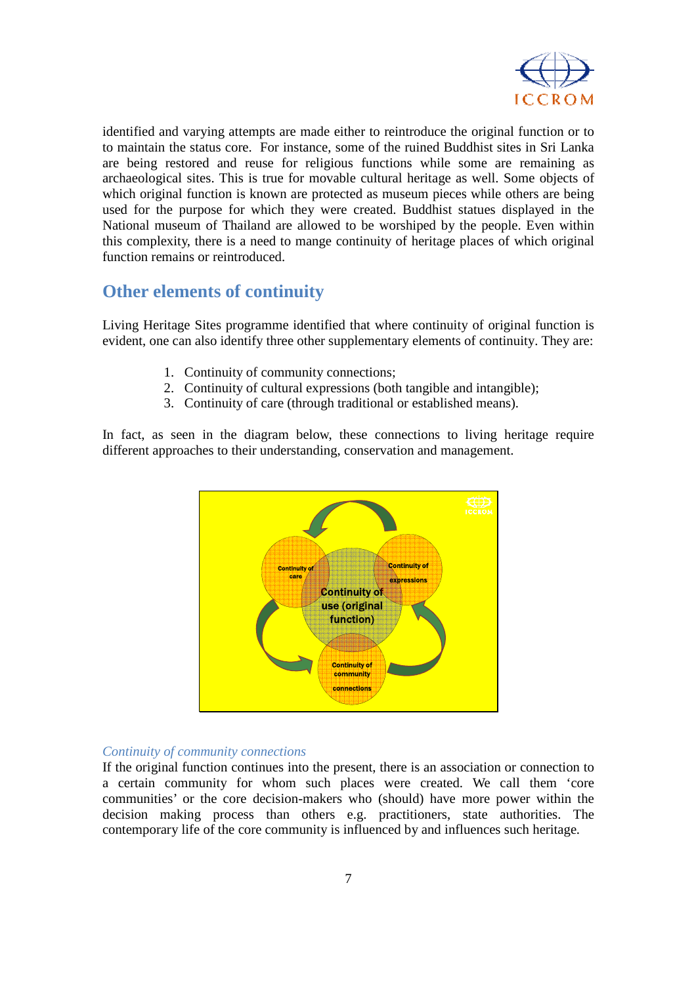

identified and varying attempts are made either to reintroduce the original function or to to maintain the status core. For instance, some of the ruined Buddhist sites in Sri Lanka are being restored and reuse for religious functions while some are remaining as archaeological sites. This is true for movable cultural heritage as well. Some objects of which original function is known are protected as museum pieces while others are being used for the purpose for which they were created. Buddhist statues displayed in the National museum of Thailand are allowed to be worshiped by the people. Even within this complexity, there is a need to mange continuity of heritage places of which original function remains or reintroduced.

## **Other elements of continuity**

Living Heritage Sites programme identified that where continuity of original function is evident, one can also identify three other supplementary elements of continuity. They are:

- 1. Continuity of community connections;
- 2. Continuity of cultural expressions (both tangible and intangible);
- 3. Continuity of care (through traditional or established means).

In fact, as seen in the diagram below, these connections to living heritage require different approaches to their understanding, conservation and management.



#### *Continuity of community connections*

If the original function continues into the present, there is an association or connection to a certain community for whom such places were created. We call them 'core communities' or the core decision-makers who (should) have more power within the decision making process than others e.g. practitioners, state authorities. The contemporary life of the core community is influenced by and influences such heritage.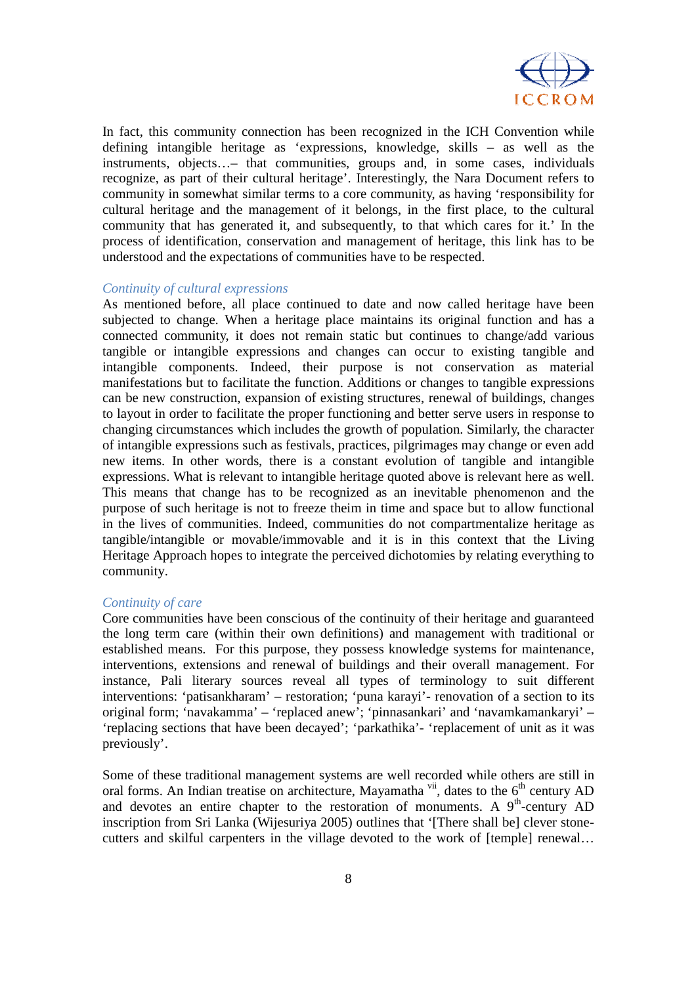

In fact, this community connection has been recognized in the ICH Convention while defining intangible heritage as 'expressions, knowledge, skills – as well as the instruments, objects…– that communities, groups and, in some cases, individuals recognize, as part of their cultural heritage'. Interestingly, the Nara Document refers to community in somewhat similar terms to a core community, as having 'responsibility for cultural heritage and the management of it belongs, in the first place, to the cultural community that has generated it, and subsequently, to that which cares for it.' In the process of identification, conservation and management of heritage, this link has to be understood and the expectations of communities have to be respected.

#### *Continuity of cultural expressions*

As mentioned before, all place continued to date and now called heritage have been subjected to change. When a heritage place maintains its original function and has a connected community, it does not remain static but continues to change/add various tangible or intangible expressions and changes can occur to existing tangible and intangible components. Indeed, their purpose is not conservation as material manifestations but to facilitate the function. Additions or changes to tangible expressions can be new construction, expansion of existing structures, renewal of buildings, changes to layout in order to facilitate the proper functioning and better serve users in response to changing circumstances which includes the growth of population. Similarly, the character of intangible expressions such as festivals, practices, pilgrimages may change or even add new items. In other words, there is a constant evolution of tangible and intangible expressions. What is relevant to intangible heritage quoted above is relevant here as well. This means that change has to be recognized as an inevitable phenomenon and the purpose of such heritage is not to freeze theim in time and space but to allow functional in the lives of communities. Indeed, communities do not compartmentalize heritage as tangible/intangible or movable/immovable and it is in this context that the Living Heritage Approach hopes to integrate the perceived dichotomies by relating everything to community.

#### *Continuity of care*

Core communities have been conscious of the continuity of their heritage and guaranteed the long term care (within their own definitions) and management with traditional or established means. For this purpose, they possess knowledge systems for maintenance, interventions, extensions and renewal of buildings and their overall management. For instance, Pali literary sources reveal all types of terminology to suit different interventions: 'patisankharam' – restoration; 'puna karayi'- renovation of a section to its original form; 'navakamma' – 'replaced anew'; 'pinnasankari' and 'navamkamankaryi' – 'replacing sections that have been decayed'; 'parkathika'- 'replacement of unit as it was previously'.

Some of these traditional management systems are well recorded while others are still in oral forms. An Indian treatise on architecture, Mayamatha<sup>vii</sup>, dates to the  $6<sup>th</sup>$  century AD and devotes an entire chapter to the restoration of monuments. A  $9<sup>th</sup>$ -century AD inscription from Sri Lanka (Wijesuriya 2005) outlines that '[There shall be] clever stonecutters and skilful carpenters in the village devoted to the work of [temple] renewal…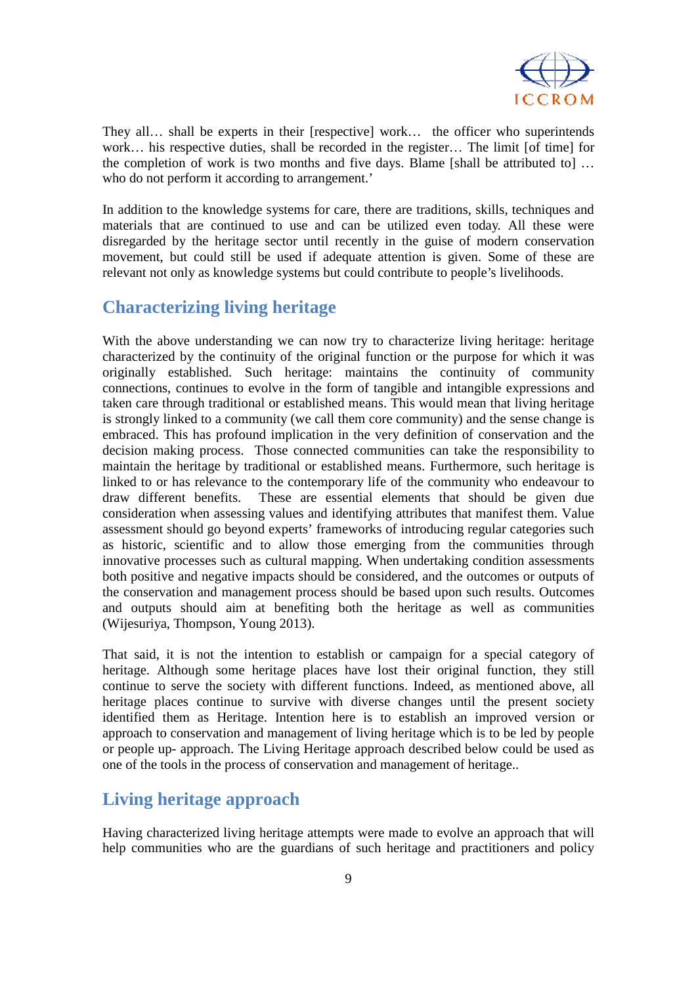

They all… shall be experts in their [respective] work… the officer who superintends work… his respective duties, shall be recorded in the register… The limit [of time] for the completion of work is two months and five days. Blame [shall be attributed to] … who do not perform it according to arrangement.'

In addition to the knowledge systems for care, there are traditions, skills, techniques and materials that are continued to use and can be utilized even today. All these were disregarded by the heritage sector until recently in the guise of modern conservation movement, but could still be used if adequate attention is given. Some of these are relevant not only as knowledge systems but could contribute to people's livelihoods.

# **Characterizing living heritage**

With the above understanding we can now try to characterize living heritage: heritage characterized by the continuity of the original function or the purpose for which it was originally established. Such heritage: maintains the continuity of community connections, continues to evolve in the form of tangible and intangible expressions and taken care through traditional or established means. This would mean that living heritage is strongly linked to a community (we call them core community) and the sense change is embraced. This has profound implication in the very definition of conservation and the decision making process. Those connected communities can take the responsibility to maintain the heritage by traditional or established means. Furthermore, such heritage is linked to or has relevance to the contemporary life of the community who endeavour to draw different benefits. These are essential elements that should be given due consideration when assessing values and identifying attributes that manifest them. Value assessment should go beyond experts' frameworks of introducing regular categories such as historic, scientific and to allow those emerging from the communities through innovative processes such as cultural mapping. When undertaking condition assessments both positive and negative impacts should be considered, and the outcomes or outputs of the conservation and management process should be based upon such results. Outcomes and outputs should aim at benefiting both the heritage as well as communities (Wijesuriya, Thompson, Young 2013).

That said, it is not the intention to establish or campaign for a special category of heritage. Although some heritage places have lost their original function, they still continue to serve the society with different functions. Indeed, as mentioned above, all heritage places continue to survive with diverse changes until the present society identified them as Heritage. Intention here is to establish an improved version or approach to conservation and management of living heritage which is to be led by people or people up- approach. The Living Heritage approach described below could be used as one of the tools in the process of conservation and management of heritage..

# **Living heritage approach**

Having characterized living heritage attempts were made to evolve an approach that will help communities who are the guardians of such heritage and practitioners and policy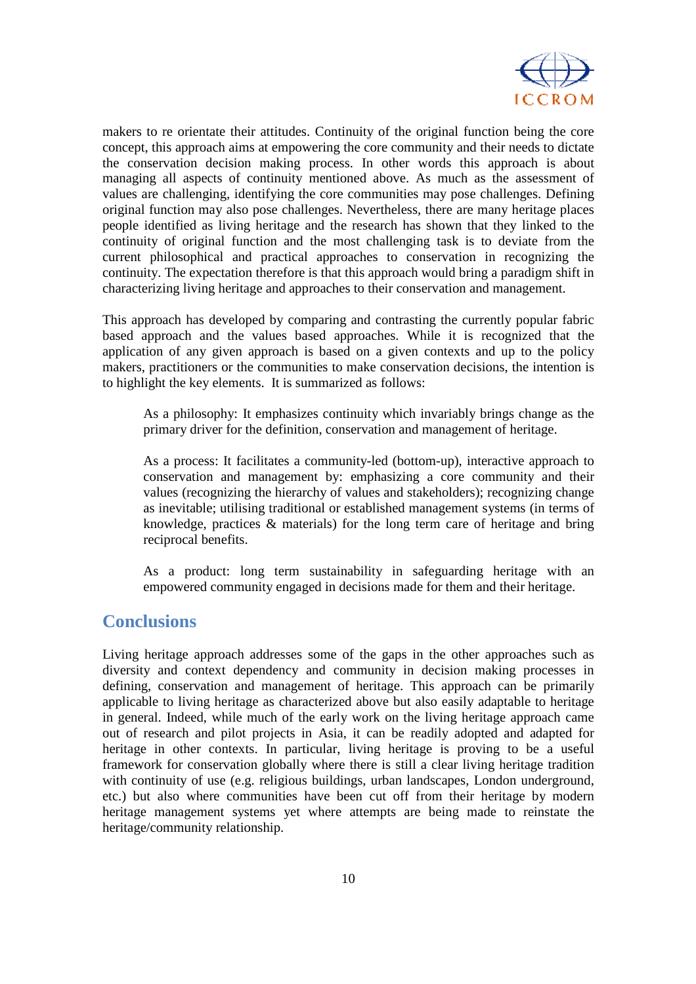

makers to re orientate their attitudes. Continuity of the original function being the core concept, this approach aims at empowering the core community and their needs to dictate the conservation decision making process. In other words this approach is about managing all aspects of continuity mentioned above. As much as the assessment of values are challenging, identifying the core communities may pose challenges. Defining original function may also pose challenges. Nevertheless, there are many heritage places people identified as living heritage and the research has shown that they linked to the continuity of original function and the most challenging task is to deviate from the current philosophical and practical approaches to conservation in recognizing the continuity. The expectation therefore is that this approach would bring a paradigm shift in characterizing living heritage and approaches to their conservation and management.

This approach has developed by comparing and contrasting the currently popular fabric based approach and the values based approaches. While it is recognized that the application of any given approach is based on a given contexts and up to the policy makers, practitioners or the communities to make conservation decisions, the intention is to highlight the key elements. It is summarized as follows:

As a philosophy: It emphasizes continuity which invariably brings change as the primary driver for the definition, conservation and management of heritage.

As a process: It facilitates a community-led (bottom-up), interactive approach to conservation and management by: emphasizing a core community and their values (recognizing the hierarchy of values and stakeholders); recognizing change as inevitable; utilising traditional or established management systems (in terms of knowledge, practices & materials) for the long term care of heritage and bring reciprocal benefits.

As a product: long term sustainability in safeguarding heritage with an empowered community engaged in decisions made for them and their heritage.

### **Conclusions**

Living heritage approach addresses some of the gaps in the other approaches such as diversity and context dependency and community in decision making processes in defining, conservation and management of heritage. This approach can be primarily applicable to living heritage as characterized above but also easily adaptable to heritage in general. Indeed, while much of the early work on the living heritage approach came out of research and pilot projects in Asia, it can be readily adopted and adapted for heritage in other contexts. In particular, living heritage is proving to be a useful framework for conservation globally where there is still a clear living heritage tradition with continuity of use (e.g. religious buildings, urban landscapes, London underground, etc.) but also where communities have been cut off from their heritage by modern heritage management systems yet where attempts are being made to reinstate the heritage/community relationship.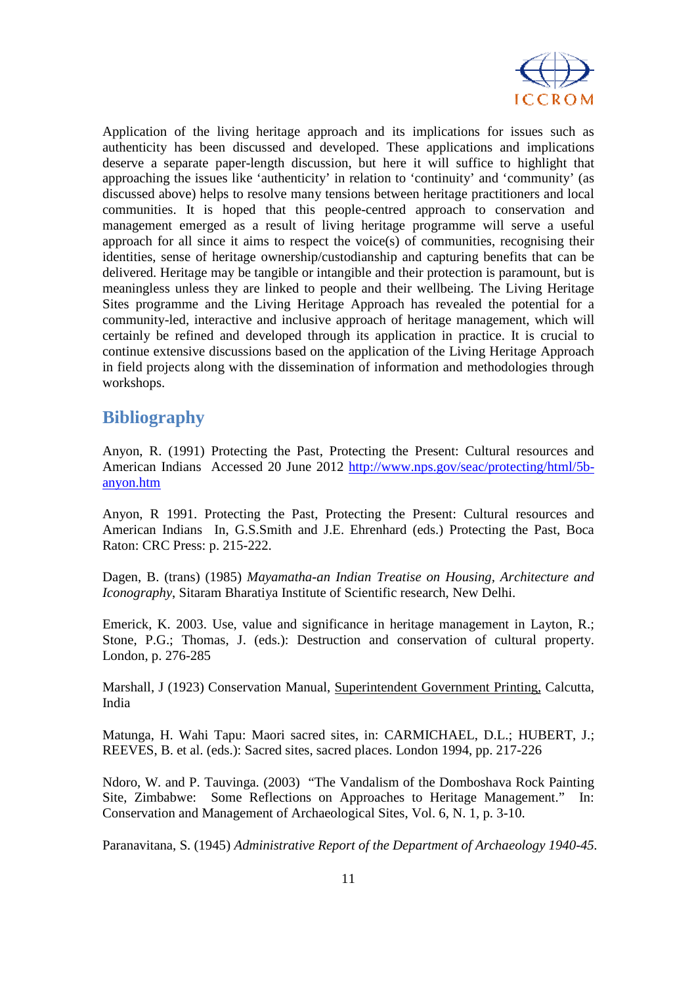

Application of the living heritage approach and its implications for issues such as authenticity has been discussed and developed. These applications and implications deserve a separate paper-length discussion, but here it will suffice to highlight that approaching the issues like 'authenticity' in relation to 'continuity' and 'community' (as discussed above) helps to resolve many tensions between heritage practitioners and local communities. It is hoped that this people-centred approach to conservation and management emerged as a result of living heritage programme will serve a useful approach for all since it aims to respect the voice(s) of communities, recognising their identities, sense of heritage ownership/custodianship and capturing benefits that can be delivered. Heritage may be tangible or intangible and their protection is paramount, but is meaningless unless they are linked to people and their wellbeing. The Living Heritage Sites programme and the Living Heritage Approach has revealed the potential for a community-led, interactive and inclusive approach of heritage management, which will certainly be refined and developed through its application in practice. It is crucial to continue extensive discussions based on the application of the Living Heritage Approach in field projects along with the dissemination of information and methodologies through workshops.

# **Bibliography**

Anyon, R. (1991) Protecting the Past, Protecting the Present: Cultural resources and American Indians Accessed 20 June 2012 http://www.nps.gov/seac/protecting/html/5banyon.htm

Anyon, R 1991. Protecting the Past, Protecting the Present: Cultural resources and American Indians In, G.S.Smith and J.E. Ehrenhard (eds.) Protecting the Past, Boca Raton: CRC Press: p. 215-222.

Dagen, B. (trans) (1985) *Mayamatha-an Indian Treatise on Housing, Architecture and Iconography*, Sitaram Bharatiya Institute of Scientific research, New Delhi.

Emerick, K. 2003. Use, value and significance in heritage management in Layton, R.; Stone, P.G.; Thomas, J. (eds.): Destruction and conservation of cultural property. London, p. 276-285

Marshall, J (1923) Conservation Manual, Superintendent Government Printing, Calcutta, India

Matunga, H. Wahi Tapu: Maori sacred sites, in: CARMICHAEL, D.L.; HUBERT, J.; REEVES, B. et al. (eds.): Sacred sites, sacred places. London 1994, pp. 217-226

Ndoro, W. and P. Tauvinga. (2003) "The Vandalism of the Domboshava Rock Painting Site, Zimbabwe: Some Reflections on Approaches to Heritage Management." In: Conservation and Management of Archaeological Sites, Vol. 6, N. 1, p. 3-10.

Paranavitana, S. (1945) *Administrative Report of the Department of Archaeology 1940-45.*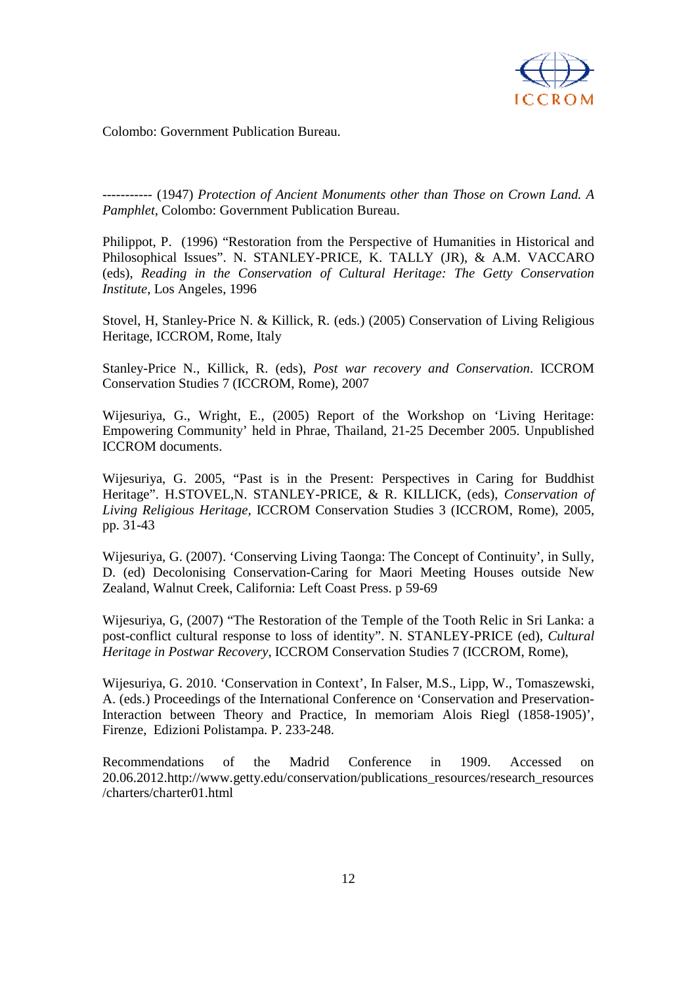

Colombo: Government Publication Bureau.

----------- (1947) *Protection of Ancient Monuments other than Those on Crown Land. A Pamphlet,* Colombo: Government Publication Bureau.

Philippot, P. (1996) "Restoration from the Perspective of Humanities in Historical and Philosophical Issues". N. STANLEY-PRICE, K. TALLY (JR), & A.M. VACCARO (eds), *Reading in the Conservation of Cultural Heritage: The Getty Conservation Institute*, Los Angeles, 1996

Stovel, H, Stanley-Price N. & Killick, R. (eds.) (2005) Conservation of Living Religious Heritage, ICCROM, Rome, Italy

Stanley-Price N., Killick, R. (eds), *Post war recovery and Conservation*. ICCROM Conservation Studies 7 (ICCROM, Rome), 2007

Wijesuriya, G., Wright, E., (2005) Report of the Workshop on 'Living Heritage: Empowering Community' held in Phrae, Thailand, 21-25 December 2005. Unpublished ICCROM documents.

Wijesuriya, G. 2005, "Past is in the Present: Perspectives in Caring for Buddhist Heritage". H.STOVEL,N. STANLEY-PRICE, & R. KILLICK, (eds), *Conservation of Living Religious Heritage,* ICCROM Conservation Studies 3 (ICCROM, Rome), 2005, pp. 31-43

Wijesuriya, G. (2007). 'Conserving Living Taonga: The Concept of Continuity', in Sully, D. (ed) Decolonising Conservation-Caring for Maori Meeting Houses outside New Zealand, Walnut Creek, California: Left Coast Press. p 59-69

Wijesuriya, G, (2007) "The Restoration of the Temple of the Tooth Relic in Sri Lanka: a post-conflict cultural response to loss of identity". N. STANLEY-PRICE (ed), *Cultural Heritage in Postwar Recovery*, ICCROM Conservation Studies 7 (ICCROM, Rome),

Wijesuriya, G. 2010. 'Conservation in Context', In Falser, M.S., Lipp, W., Tomaszewski, A. (eds.) Proceedings of the International Conference on 'Conservation and Preservation-Interaction between Theory and Practice, In memoriam Alois Riegl (1858-1905)', Firenze, Edizioni Polistampa. P. 233-248.

Recommendations of the Madrid Conference in 1909. Accessed on 20.06.2012.http://www.getty.edu/conservation/publications\_resources/research\_resources /charters/charter01.html